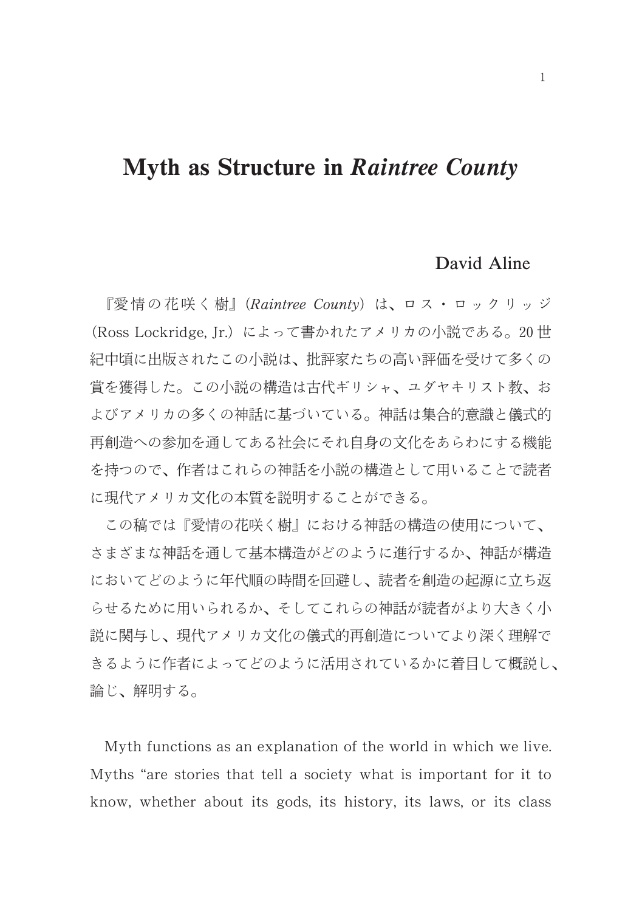## Myth as Structure in Raintree County

## David Aline

『愛情の花咲く樹』(Raintree County) は、ロス・ロックリッジ (Ross Lockridge, Jr.) によって書かれたアメリカの小説である。20世 紀中頃に出版されたこの小説は、批評家たちの高い評価を受けて多くの 賞を獲得した。この小説の構造は古代ギリシャ、ユダヤキリスト教、お よびアメリカの多くの神話に基づいている。神話は集合的意識と儀式的 再創造への参加を通してある社会にそれ自身の文化をあらわにする機能 を持つので、作者はこれらの神話を小説の構造として用いることで読者 に現代アメリカ文化の本質を説明することができる。

この稿では『愛情の花咲く樹』における神話の構造の使用について、 さまざまな神話を通して基本構造がどのように進行するか、神話が構造 においてどのように年代順の時間を回避し、読者を創造の起源に立ち返 らせるために用いられるか、そしてこれらの神話が読者がより大きく小 説に関与し、現代アメリカ文化の儀式的再創造についてより深く理解で きるように作者によってどのように活用されているかに着目して概説し、 論じ、解明する。

Myth functions as an explanation of the world in which we live. Myths "are stories that tell a society what is important for it to know, whether about its gods, its history, its laws, or its class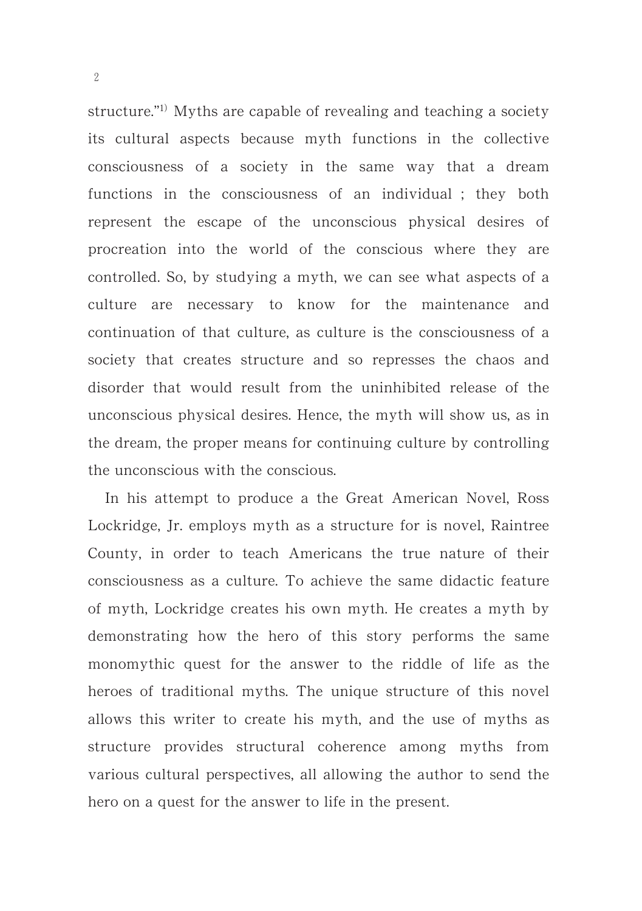structure."<sup>1)</sup> Myths are capable of revealing and teaching a society its cultural aspects because myth functions in the collective consciousness of a society in the same way that a dream functions in the consciousness of an individual ; they both represent the escape of the unconscious physical desires of procreation into the world of the conscious where they are controlled. So, by studying a myth, we can see what aspects of a culture are necessary to know for the maintenance and continuation of that culture, as culture is the consciousness of a society that creates structure and so represses the chaos and disorder that would result from the uninhibited release of the unconscious physical desires. Hence, the myth will show us, as in the dream, the proper means for continuing culture by controlling the unconscious with the conscious.

In his attempt to produce a the Great American Novel, Ross Lockridge, Jr. employs myth as a structure for is novel, Raintree County, in order to teach Americans the true nature of their consciousness as a culture. To achieve the same didactic feature of myth, Lockridge creates his own myth. He creates a myth by demonstrating how the hero of this story performs the same monomythic quest for the answer to the riddle of life as the heroes of traditional myths. The unique structure of this novel allows this writer to create his myth, and the use of myths as structure provides structural coherence among myths from various cultural perspectives, all allowing the author to send the hero on a quest for the answer to life in the present.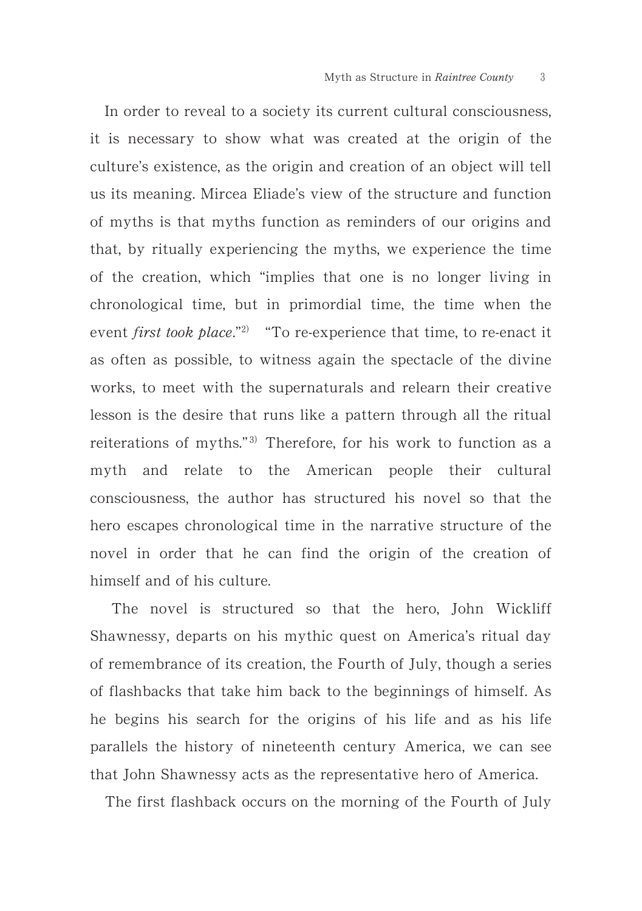In order to reveal to a society its current cultural consciousness, it is necessary to show what was created at the origin of the culture's existence, as the origin and creation of an object will tell us its meaning. Mircea Eliade's view of the structure and function of myths is that myths function as reminders of our origins and that, by ritually experiencing the myths, we experience the time of the creation, which "implies that one is no longer living in chronological time, but in primordial time, the time when the event *first took place*."<sup>2)</sup> "To re-experience that time, to re-enact it as often as possible, to witness again the spectacle of the divine works, to meet with the supernaturals and relearn their creative lesson is the desire that runs like a pattern through all the ritual reiterations of myths."<sup>3)</sup> Therefore, for his work to function as a myth and relate to the American people their cultural consciousness, the author has structured his novel so that the hero escapes chronological time in the narrative structure of the novel in order that he can find the origin of the creation of himself and of his culture.

The novel is structured so that the hero, John Wickliff Shawnessy, departs on his mythic quest on America's ritual day of remembrance of its creation, the Fourth of July, though a series of flashbacks that take him back to the beginnings of himself. As he begins his search for the origins of his life and as his life parallels the history of nineteenth century America, we can see that John Shawnessy acts as the representative hero of America.

The first flashback occurs on the morning of the Fourth of July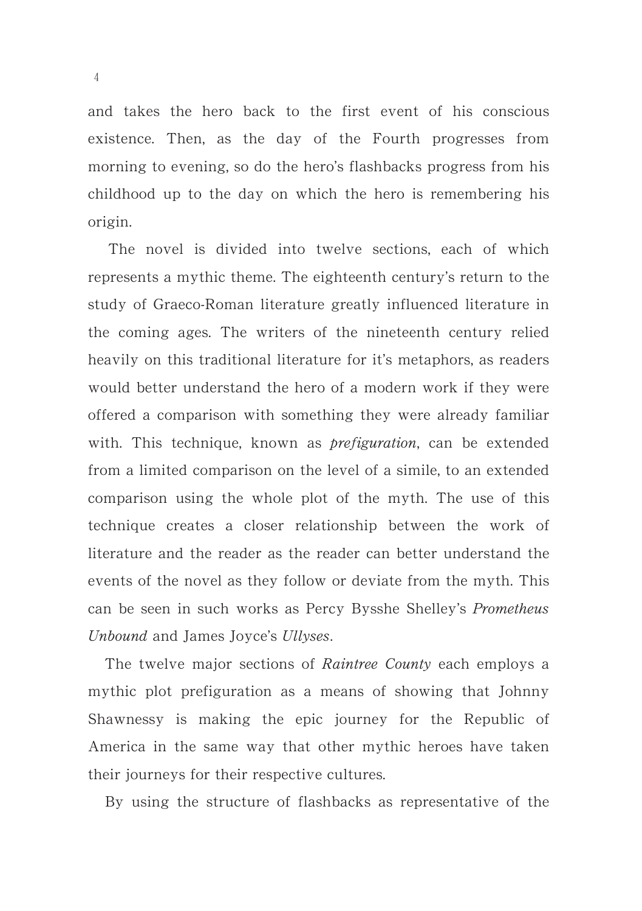and takes the hero back to the first event of his conscious existence. Then, as the day of the Fourth progresses from morning to evening, so do the hero's flashbacks progress from his childhood up to the day on which the hero is remembering his origin.

The novel is divided into twelve sections, each of which represents a mythic theme. The eighteenth century's return to the study of Graeco-Roman literature greatly influenced literature in the coming ages. The writers of the nineteenth century relied heavily on this traditional literature for it's metaphors, as readers would better understand the hero of a modern work if they were offered a comparison with something they were already familiar with. This technique, known as *prefiguration*, can be extended from a limited comparison on the level of a simile, to an extended comparison using the whole plot of the myth. The use of this technique creates a closer relationship between the work of literature and the reader as the reader can better understand the events of the novel as they follow or deviate from the myth. This can be seen in such works as Percy Bysshe Shelley's Prometheus Unbound and James Joyce's Ullyses.

The twelve major sections of Raintree County each employs a mythic plot prefiguration as a means of showing that Johnny Shawnessy is making the epic journey for the Republic of America in the same way that other mythic heroes have taken their journeys for their respective cultures.

By using the structure of flashbacks as representative of the

-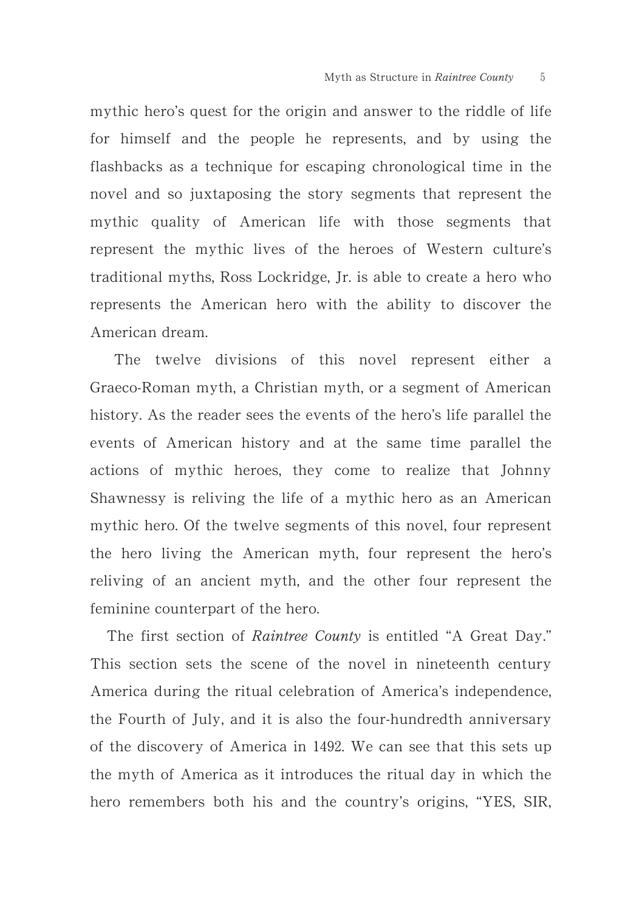mythic hero's quest for the origin and answer to the riddle of life for himself and the people he represents, and by using the flashbacks as a technique for escaping chronological time in the novel and so juxtaposing the story segments that represent the mythic quality of American life with those segments that represent the mythic lives of the heroes of Western culture's traditional myths, Ross Lockridge, Jr. is able to create a hero who represents the American hero with the ability to discover the American dream.

The twelve divisions of this novel represent either a Graeco-Roman myth, a Christian myth, or a segment of American history. As the reader sees the events of the hero's life parallel the events of American history and at the same time parallel the actions of mythic heroes, they come to realize that Johnny Shawnessy is reliving the life of a mythic hero as an American mythic hero. Of the twelve segments of this novel, four represent the hero living the American myth, four represent the hero's reliving of an ancient myth, and the other four represent the feminine counterpart of the hero.

The first section of Raintree County is entitled "A Great Day." This section sets the scene of the novel in nineteenth century America during the ritual celebration of America's independence, the Fourth of July, and it is also the four-hundredth anniversary of the discovery of America in 1492. We can see that this sets up the myth of America as it introduces the ritual day in which the hero remembers both his and the country's origins, "YES, SIR,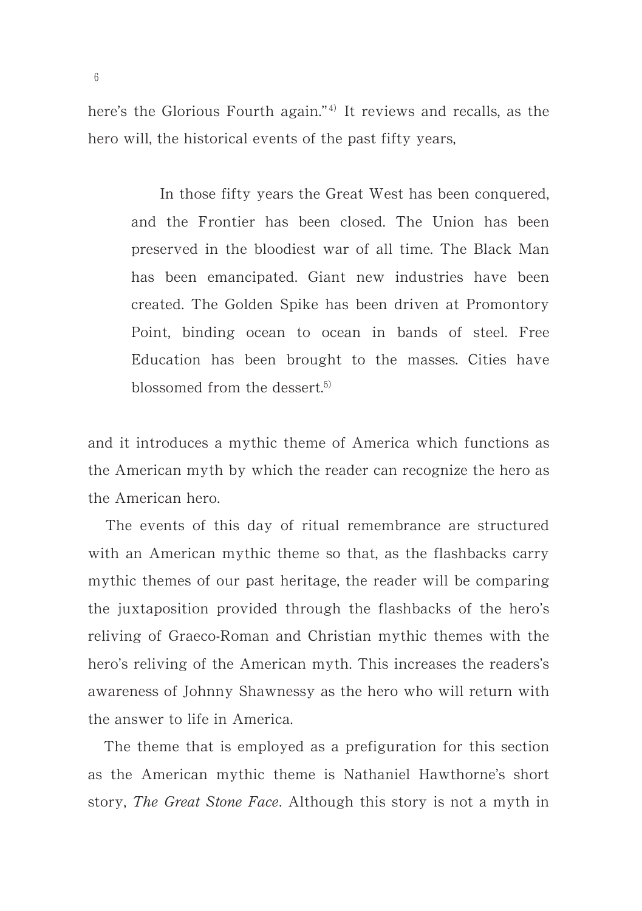here's the Glorious Fourth again."<sup>4)</sup> It reviews and recalls, as the hero will, the historical events of the past fifty years,

In those fifty years the Great West has been conquered, and the Frontier has been closed. The Union has been preserved in the bloodiest war of all time. The Black Man has been emancipated. Giant new industries have been created. The Golden Spike has been driven at Promontory Point, binding ocean to ocean in bands of steel. Free Education has been brought to the masses. Cities have blossomed from the dessert.<sup>5)</sup>

and it introduces a mythic theme of America which functions as the American myth by which the reader can recognize the hero as the American hero.

The events of this day of ritual remembrance are structured with an American mythic theme so that, as the flashbacks carry mythic themes of our past heritage, the reader will be comparing the juxtaposition provided through the flashbacks of the hero's reliving of Graeco-Roman and Christian mythic themes with the hero's reliving of the American myth. This increases the readers's awareness of Johnny Shawnessy as the hero who will return with the answer to life in America.

The theme that is employed as a prefiguration for this section as the American mythic theme is Nathaniel Hawthorne's short story, The Great Stone Face. Although this story is not a myth in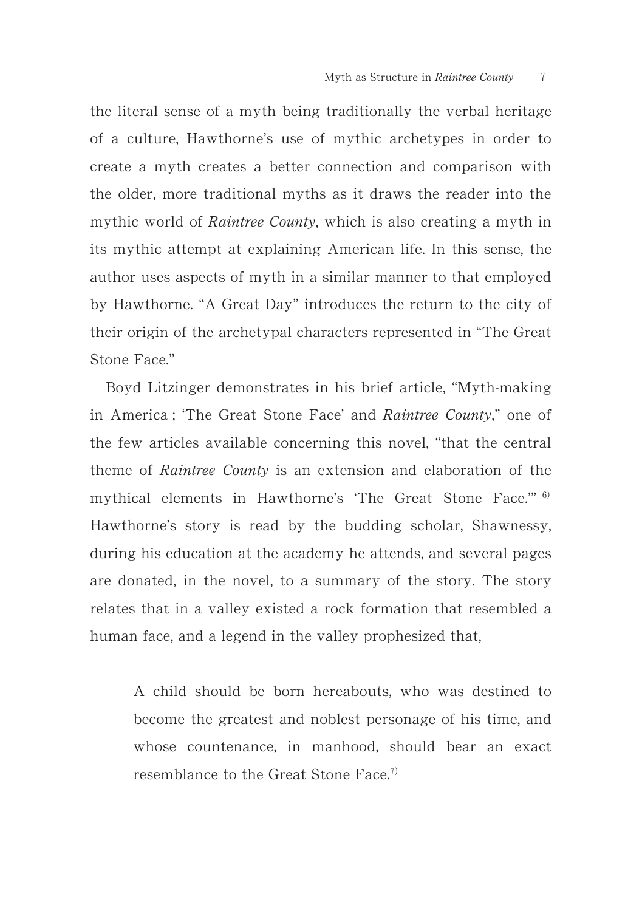the literal sense of a myth being traditionally the verbal heritage of a culture, Hawthorne's use of mythic archetypes in order to create a myth creates a better connection and comparison with the older, more traditional myths as it draws the reader into the mythic world of *Raintree County*, which is also creating a myth in its mythic attempt at explaining American life. In this sense, the author uses aspects of myth in a similar manner to that employed by Hawthorne. "A Great Day" introduces the return to the city of their origin of the archetypal characters represented in "The Great Stone Face."

Boyd Litzinger demonstrates in his brief article, "Myth-making in America ; 'The Great Stone Face' and Raintree County," one of the few articles available concerning this novel, "that the central theme of Raintree County is an extension and elaboration of the mythical elements in Hawthorne's 'The Great Stone Face." 6) Hawthorne's story is read by the budding scholar, Shawnessy, during his education at the academy he attends, and several pages are donated, in the novel, to a summary of the story. The story relates that in a valley existed a rock formation that resembled a human face, and a legend in the valley prophesized that,

A child should be born hereabouts, who was destined to become the greatest and noblest personage of his time, and whose countenance, in manhood, should bear an exact resemblance to the Great Stone Face.<sup>7)</sup>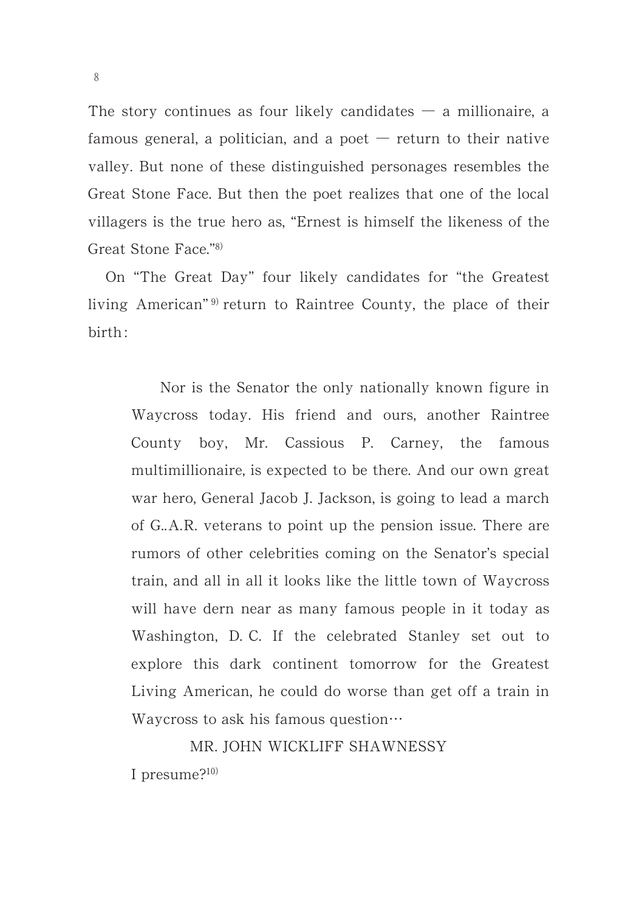The story continues as four likely candidates  $-$  a millionaire, a famous general, a politician, and a poet  $-$  return to their native valley. But none of these distinguished personages resembles the Great Stone Face. But then the poet realizes that one of the local villagers is the true hero as, "Ernest is himself the likeness of the Great Stone Face."<sup>8)</sup>

On "The Great Day" four likely candidates for "the Greatest living American"<sup>9)</sup> return to Raintree County, the place of their birth :

Nor is the Senator the only nationally known figure in Waycross today. His friend and ours, another Raintree County boy, Mr. Cassious P. Carney, the famous multimillionaire, is expected to be there. And our own great war hero, General Jacob J. Jackson, is going to lead a march of G..A.R. veterans to point up the pension issue. There are rumors of other celebrities coming on the Senator's special train, and all in all it looks like the little town of Waycross will have dern near as many famous people in it today as Washington, D. C. If the celebrated Stanley set out to explore this dark continent tomorrow for the Greatest Living American, he could do worse than get off a train in Waycross to ask his famous question $\cdots$ 

MR. JOHN WICKLIFF SHAWNESSY I presume? $^{10)}$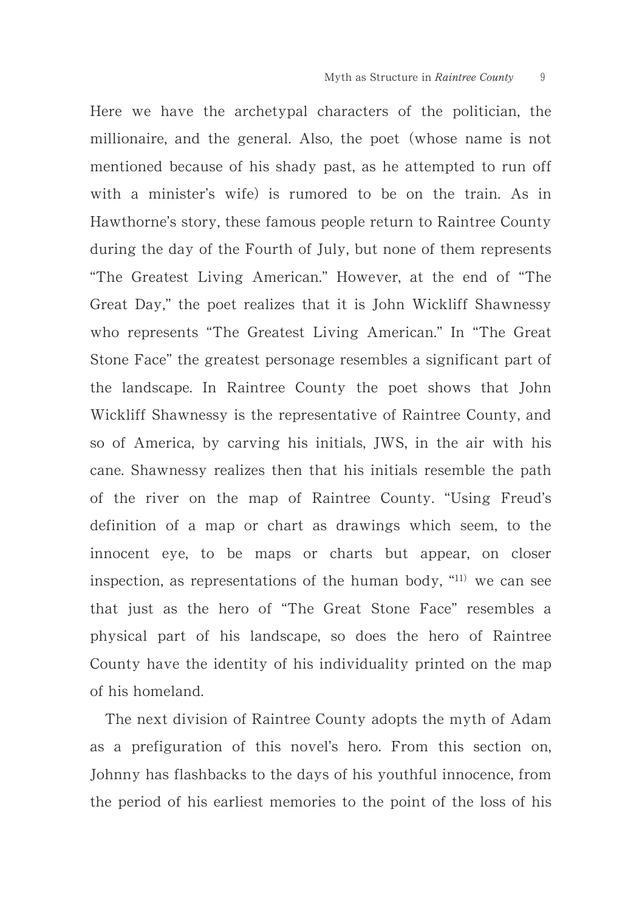Here we have the archetypal characters of the politician, the millionaire, and the general. Also, the poet (whose name is not mentioned because of his shady past, as he attempted to run off with a minister's wife) is rumored to be on the train. As in Hawthorne's story, these famous people return to Raintree County during the day of the Fourth of July, but none of them represents "The Greatest Living American." However, at the end of "The Great Day," the poet realizes that it is John Wickliff Shawnessy who represents "The Greatest Living American." In "The Great Stone Face" the greatest personage resembles a significant part of the landscape. In Raintree County the poet shows that John Wickliff Shawnessy is the representative of Raintree County, and so of America, by carving his initials, JWS, in the air with his cane. Shawnessy realizes then that his initials resemble the path of the river on the map of Raintree County. "Using Freud's definition of a map or chart as drawings which seem, to the innocent eye, to be maps or charts but appear, on closer inspection, as representations of the human body,  $"^{11}$  we can see that just as the hero of "The Great Stone Face" resembles a physical part of his landscape, so does the hero of Raintree County have the identity of his individuality printed on the map of his homeland.

The next division of Raintree County adopts the myth of Adam as a prefiguration of this novel's hero. From this section on, Johnny has flashbacks to the days of his youthful innocence, from the period of his earliest memories to the point of the loss of his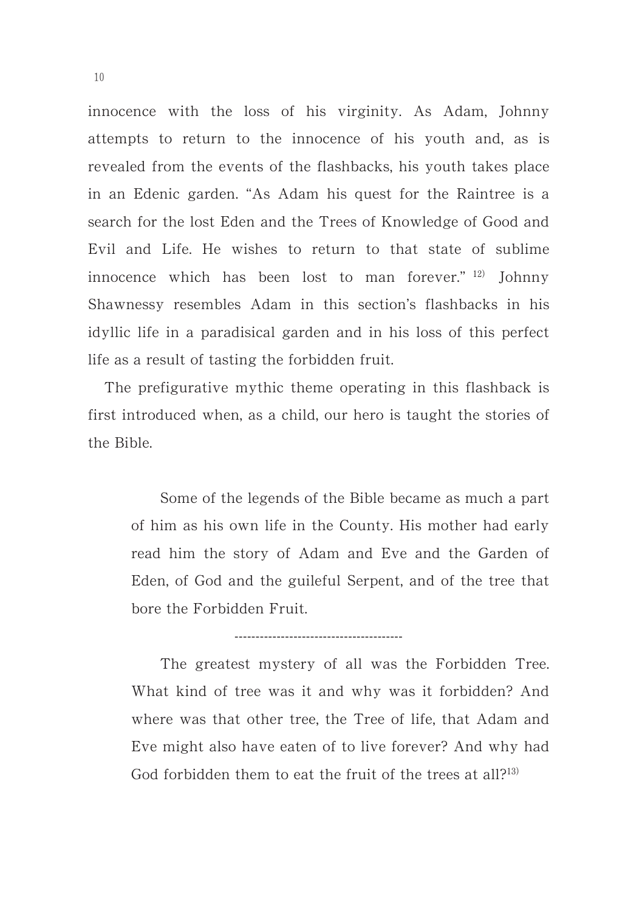innocence with the loss of his virginity. As Adam, Johnny attempts to return to the innocence of his youth and, as is revealed from the events of the flashbacks, his youth takes place in an Edenic garden. "As Adam his quest for the Raintree is a search for the lost Eden and the Trees of Knowledge of Good and Evil and Life. He wishes to return to that state of sublime innocence which has been lost to man forever." <sup>12)</sup> Johnny Shawnessy resembles Adam in this section's flashbacks in his idyllic life in a paradisical garden and in his loss of this perfect life as a result of tasting the forbidden fruit.

The prefigurative mythic theme operating in this flashback is first introduced when, as a child, our hero is taught the stories of the Bible.

Some of the legends of the Bible became as much a part of him as his own life in the County. His mother had early read him the story of Adam and Eve and the Garden of Eden, of God and the guileful Serpent, and of the tree that bore the Forbidden Fruit.

----------------------------------------

The greatest mystery of all was the Forbidden Tree. What kind of tree was it and why was it forbidden? And where was that other tree, the Tree of life, that Adam and Eve might also have eaten of to live forever? And why had God forbidden them to eat the fruit of the trees at all?<sup>13)</sup>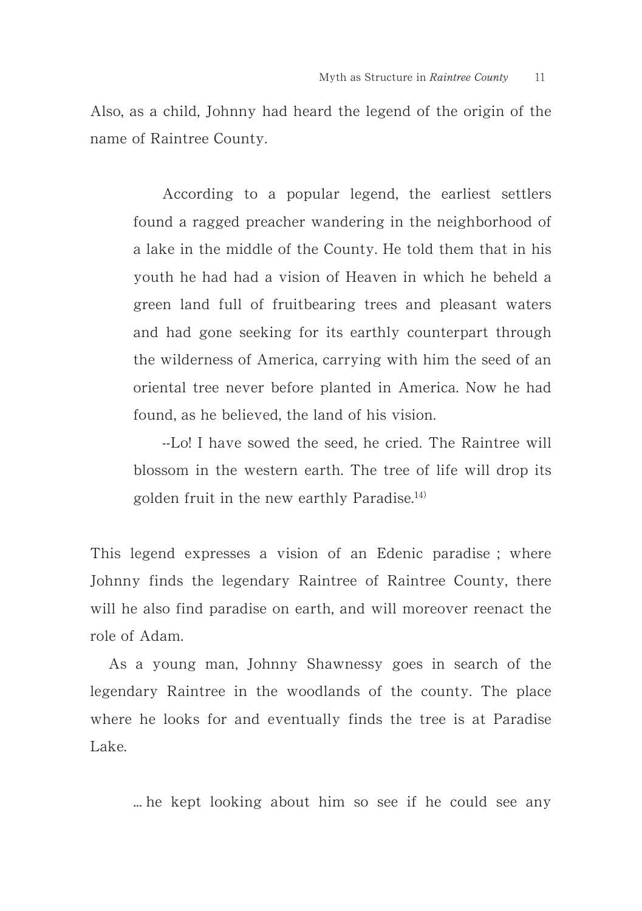Also, as a child, Johnny had heard the legend of the origin of the name of Raintree County.

According to a popular legend, the earliest settlers found a ragged preacher wandering in the neighborhood of a lake in the middle of the County. He told them that in his youth he had had a vision of Heaven in which he beheld a green land full of fruitbearing trees and pleasant waters and had gone seeking for its earthly counterpart through the wilderness of America, carrying with him the seed of an oriental tree never before planted in America. Now he had found, as he believed, the land of his vision.

--Lo! I have sowed the seed, he cried. The Raintree will blossom in the western earth. The tree of life will drop its golden fruit in the new earthly Paradise.<sup>14)</sup>

This legend expresses a vision of an Edenic paradise ; where Johnny finds the legendary Raintree of Raintree County, there will he also find paradise on earth, and will moreover reenact the role of Adam.

As a young man, Johnny Shawnessy goes in search of the legendary Raintree in the woodlands of the county. The place where he looks for and eventually finds the tree is at Paradise Lake.

... he kept looking about him so see if he could see any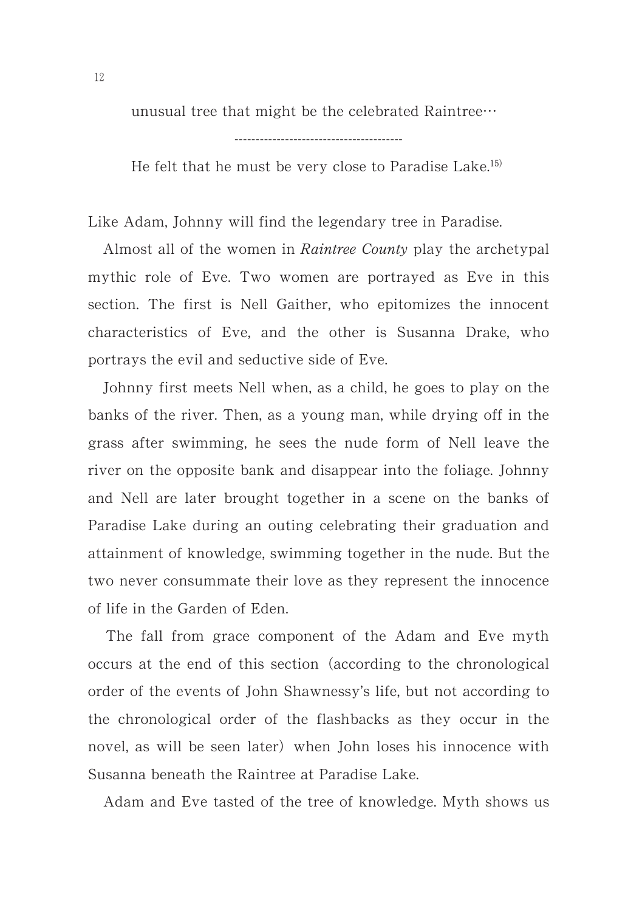unusual tree that might be the celebrated Raintree-

He felt that he must be very close to Paradise Lake.<sup>15)</sup>

Like Adam, Johnny will find the legendary tree in Paradise.

Almost all of the women in *Raintree County* play the archetypal mythic role of Eve. Two women are portrayed as Eve in this section. The first is Nell Gaither, who epitomizes the innocent characteristics of Eve, and the other is Susanna Drake, who portrays the evil and seductive side of Eve.

Johnny first meets Nell when, as a child, he goes to play on the banks of the river. Then, as a young man, while drying off in the grass after swimming, he sees the nude form of Nell leave the river on the opposite bank and disappear into the foliage. Johnny and Nell are later brought together in a scene on the banks of Paradise Lake during an outing celebrating their graduation and attainment of knowledge, swimming together in the nude. But the two never consummate their love as they represent the innocence of life in the Garden of Eden.

The fall from grace component of the Adam and Eve myth occurs at the end of this section (according to the chronological order of the events of John Shawnessy's life, but not according to the chronological order of the flashbacks as they occur in the novel, as will be seen later) when John loses his innocence with Susanna beneath the Raintree at Paradise Lake.

Adam and Eve tasted of the tree of knowledge. Myth shows us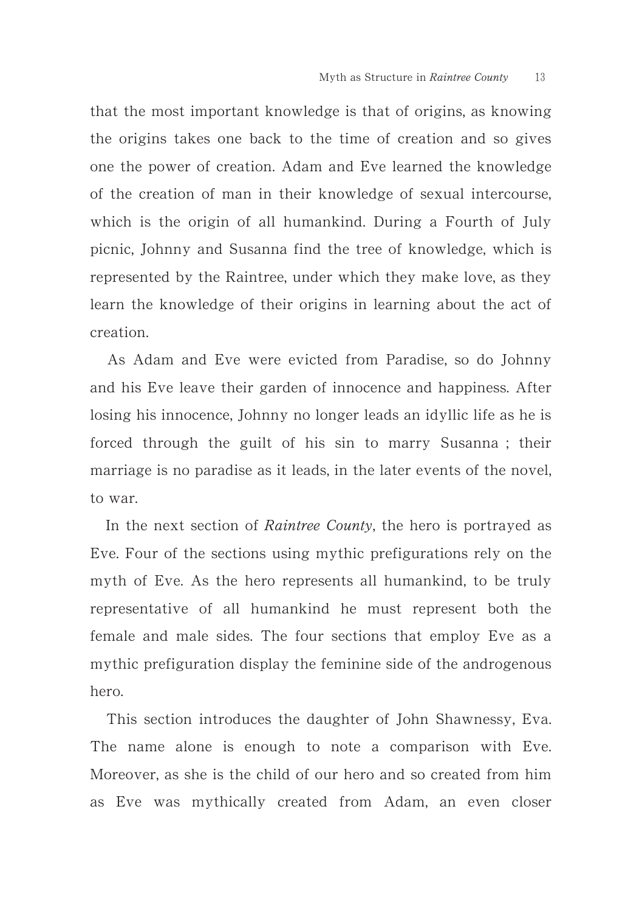that the most important knowledge is that of origins, as knowing the origins takes one back to the time of creation and so gives one the power of creation. Adam and Eve learned the knowledge of the creation of man in their knowledge of sexual intercourse, which is the origin of all humankind. During a Fourth of July picnic, Johnny and Susanna find the tree of knowledge, which is represented by the Raintree, under which they make love, as they learn the knowledge of their origins in learning about the act of creation.

As Adam and Eve were evicted from Paradise, so do Johnny and his Eve leave their garden of innocence and happiness. After losing his innocence, Johnny no longer leads an idyllic life as he is forced through the guilt of his sin to marry Susanna ; their marriage is no paradise as it leads, in the later events of the novel, to war.

In the next section of Raintree County, the hero is portrayed as Eve. Four of the sections using mythic prefigurations rely on the myth of Eve. As the hero represents all humankind, to be truly representative of all humankind he must represent both the female and male sides. The four sections that employ Eve as a mythic prefiguration display the feminine side of the androgenous hero.

This section introduces the daughter of John Shawnessy, Eva. The name alone is enough to note a comparison with Eve. Moreover, as she is the child of our hero and so created from him as Eve was mythically created from Adam, an even closer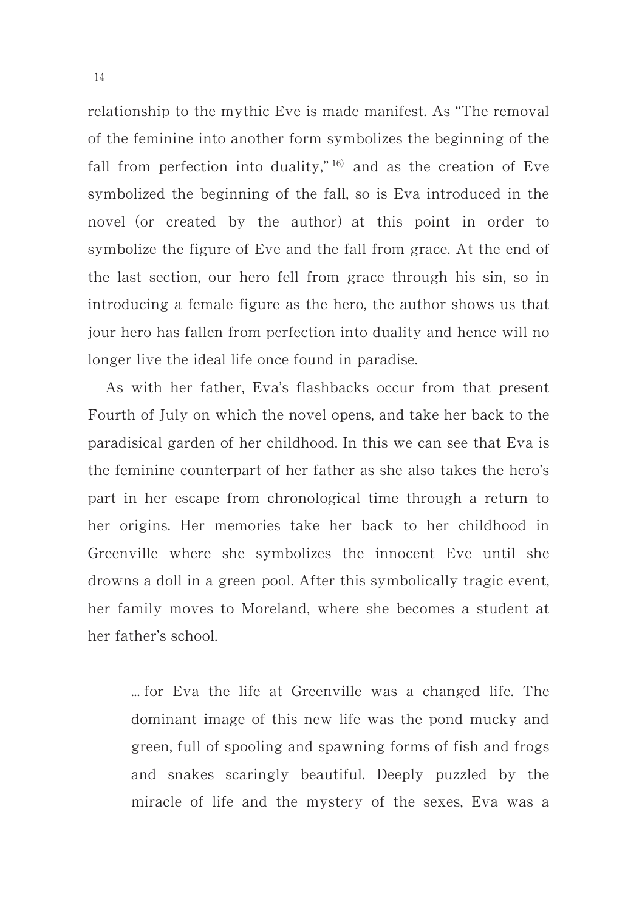relationship to the mythic Eve is made manifest. As "The removal of the feminine into another form symbolizes the beginning of the fall from perfection into duality,"  $16$  and as the creation of Eve symbolized the beginning of the fall, so is Eva introduced in the novel (or created by the author) at this point in order to symbolize the figure of Eve and the fall from grace. At the end of the last section, our hero fell from grace through his sin, so in introducing a female figure as the hero, the author shows us that jour hero has fallen from perfection into duality and hence will no longer live the ideal life once found in paradise.

As with her father, Eva's flashbacks occur from that present Fourth of July on which the novel opens, and take her back to the paradisical garden of her childhood. In this we can see that Eva is the feminine counterpart of her father as she also takes the hero's part in her escape from chronological time through a return to her origins. Her memories take her back to her childhood in Greenville where she symbolizes the innocent Eve until she drowns a doll in a green pool. After this symbolically tragic event, her family moves to Moreland, where she becomes a student at her father's school.

... for Eva the life at Greenville was a changed life. The dominant image of this new life was the pond mucky and green, full of spooling and spawning forms of fish and frogs and snakes scaringly beautiful. Deeply puzzled by the miracle of life and the mystery of the sexes, Eva was a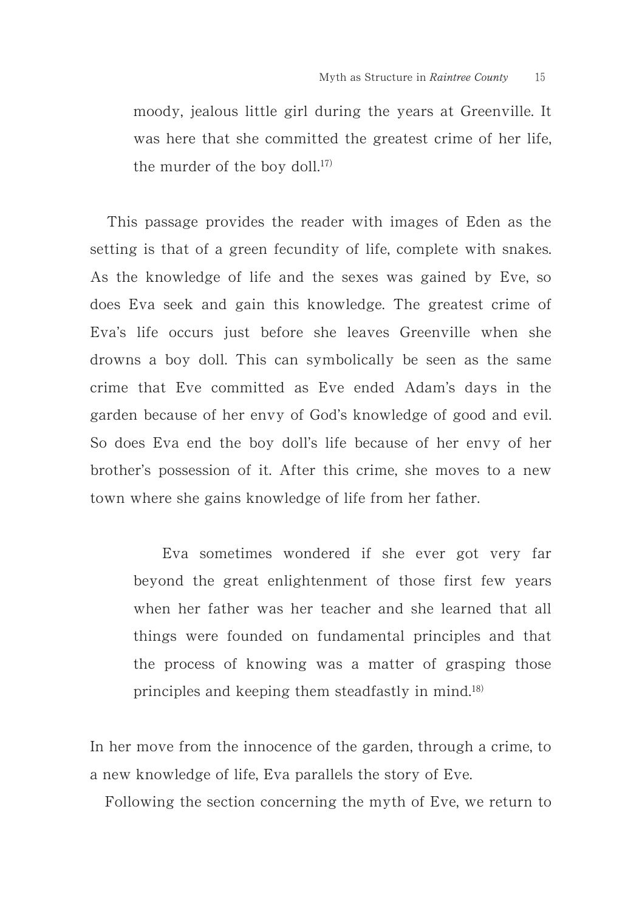moody, jealous little girl during the years at Greenville. It was here that she committed the greatest crime of her life, the murder of the boy doll. $17$ 

This passage provides the reader with images of Eden as the setting is that of a green fecundity of life, complete with snakes. As the knowledge of life and the sexes was gained by Eve, so does Eva seek and gain this knowledge. The greatest crime of Eva's life occurs just before she leaves Greenville when she drowns a boy doll. This can symbolically be seen as the same crime that Eve committed as Eve ended Adam's days in the garden because of her envy of God's knowledge of good and evil. So does Eva end the boy doll's life because of her envy of her brother's possession of it. After this crime, she moves to a new town where she gains knowledge of life from her father.

Eva sometimes wondered if she ever got very far beyond the great enlightenment of those first few years when her father was her teacher and she learned that all things were founded on fundamental principles and that the process of knowing was a matter of grasping those principles and keeping them steadfastly in mind. $^{18}$ 

In her move from the innocence of the garden, through a crime, to a new knowledge of life, Eva parallels the story of Eve.

Following the section concerning the myth of Eve, we return to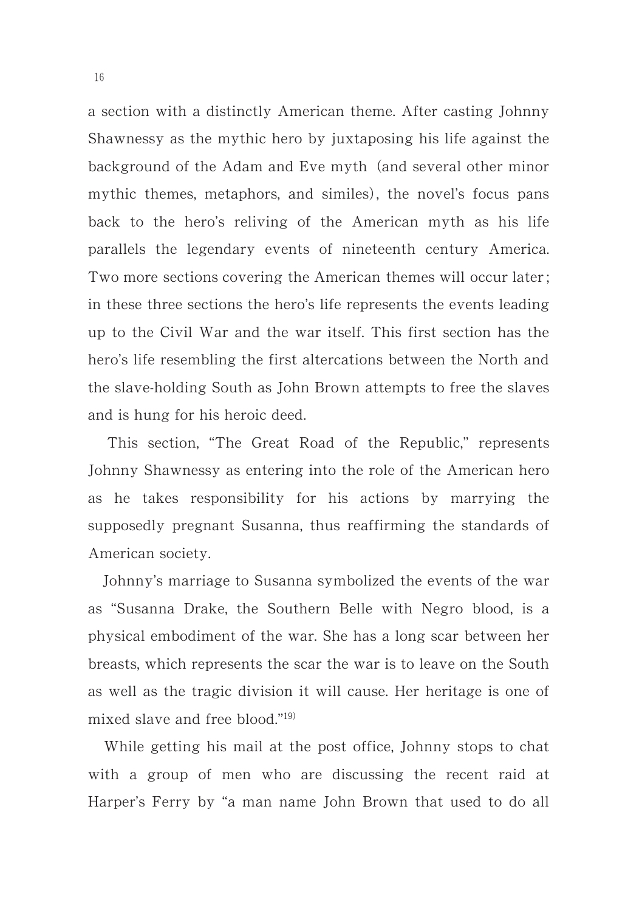a section with a distinctly American theme. After casting Johnny Shawnessy as the mythic hero by juxtaposing his life against the background of the Adam and Eve myth (and several other minor mythic themes, metaphors, and similes), the novel's focus pans back to the hero's reliving of the American myth as his life parallels the legendary events of nineteenth century America. Two more sections covering the American themes will occur later ; in these three sections the hero's life represents the events leading up to the Civil War and the war itself. This first section has the hero's life resembling the first altercations between the North and the slave-holding South as John Brown attempts to free the slaves and is hung for his heroic deed.

This section, "The Great Road of the Republic," represents Johnny Shawnessy as entering into the role of the American hero as he takes responsibility for his actions by marrying the supposedly pregnant Susanna, thus reaffirming the standards of American society.

Johnny's marriage to Susanna symbolized the events of the war as "Susanna Drake, the Southern Belle with Negro blood, is a physical embodiment of the war. She has a long scar between her breasts, which represents the scar the war is to leave on the South as well as the tragic division it will cause. Her heritage is one of mixed slave and free blood." $19$ )

While getting his mail at the post office, Johnny stops to chat with a group of men who are discussing the recent raid at Harper's Ferry by "a man name John Brown that used to do all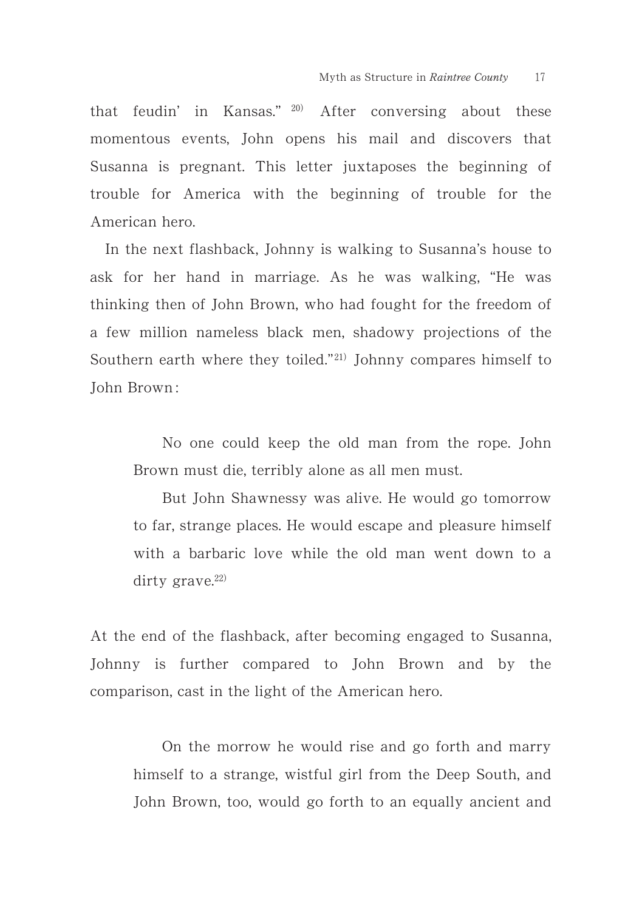that feudin' in Kansas."  $20$  After conversing about these momentous events, John opens his mail and discovers that Susanna is pregnant. This letter juxtaposes the beginning of trouble for America with the beginning of trouble for the American hero.

In the next flashback, Johnny is walking to Susanna's house to ask for her hand in marriage. As he was walking, "He was thinking then of John Brown, who had fought for the freedom of a few million nameless black men, shadowy projections of the Southern earth where they toiled."<sup>21)</sup> Johnny compares himself to John Brown :

No one could keep the old man from the rope. John Brown must die, terribly alone as all men must.

But John Shawnessy was alive. He would go tomorrow to far, strange places. He would escape and pleasure himself with a barbaric love while the old man went down to a dirty grave. $22)$ 

At the end of the flashback, after becoming engaged to Susanna, Johnny is further compared to John Brown and by the comparison, cast in the light of the American hero.

On the morrow he would rise and go forth and marry himself to a strange, wistful girl from the Deep South, and John Brown, too, would go forth to an equally ancient and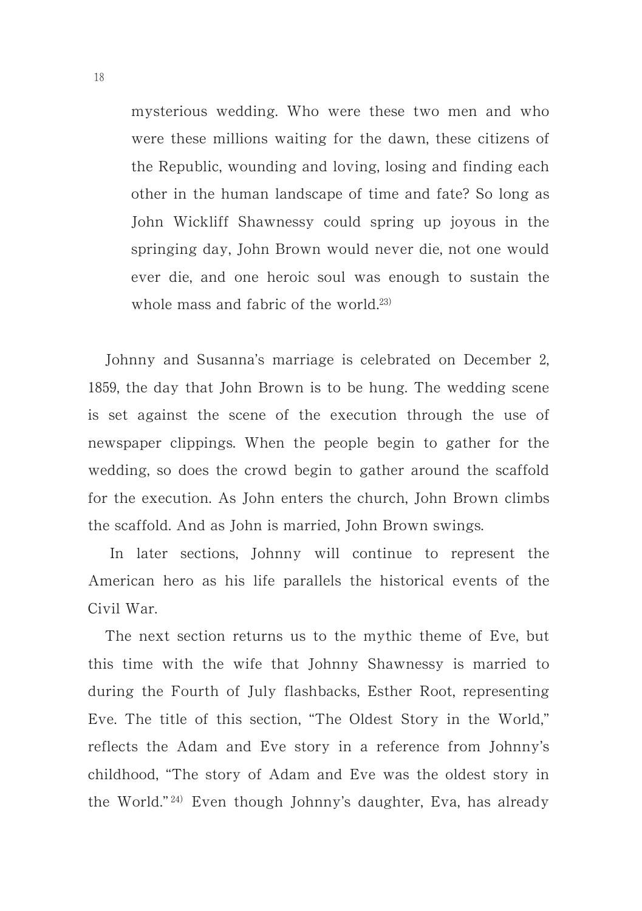mysterious wedding. Who were these two men and who were these millions waiting for the dawn, these citizens of the Republic, wounding and loving, losing and finding each other in the human landscape of time and fate? So long as John Wickliff Shawnessy could spring up joyous in the springing day, John Brown would never die, not one would ever die, and one heroic soul was enough to sustain the whole mass and fabric of the world.<sup>23)</sup>

Johnny and Susanna's marriage is celebrated on December 2, 1859, the day that John Brown is to be hung. The wedding scene is set against the scene of the execution through the use of newspaper clippings. When the people begin to gather for the wedding, so does the crowd begin to gather around the scaffold for the execution. As John enters the church, John Brown climbs the scaffold. And as John is married, John Brown swings.

In later sections, Johnny will continue to represent the American hero as his life parallels the historical events of the Civil War.

The next section returns us to the mythic theme of Eve, but this time with the wife that Johnny Shawnessy is married to during the Fourth of July flashbacks, Esther Root, representing Eve. The title of this section, "The Oldest Story in the World," reflects the Adam and Eve story in a reference from Johnny's childhood, "The story of Adam and Eve was the oldest story in the World."<sup>24)</sup> Even though Johnny's daughter, Eva, has already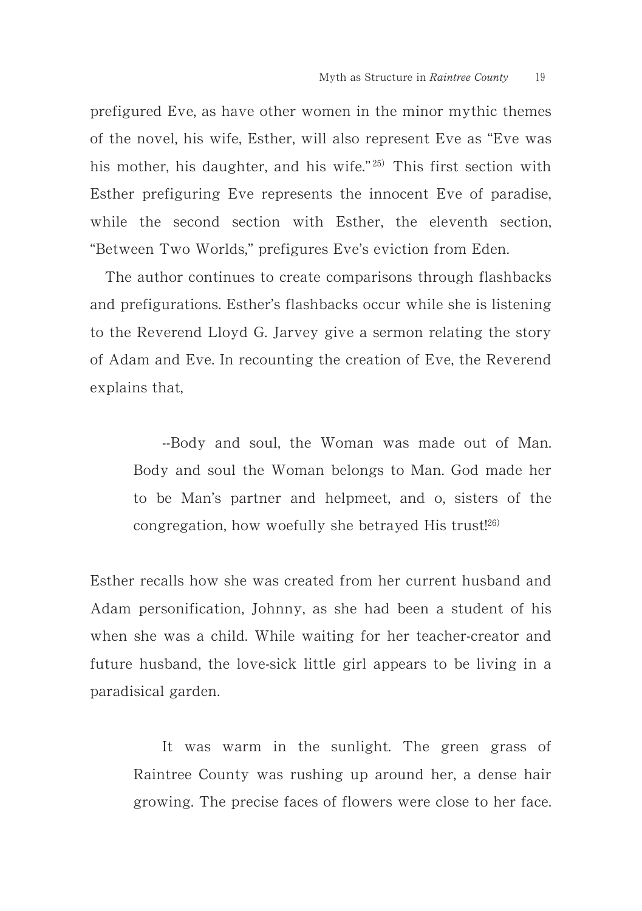prefigured Eve, as have other women in the minor mythic themes of the novel, his wife, Esther, will also represent Eve as "Eve was his mother, his daughter, and his wife."<sup>25)</sup> This first section with Esther prefiguring Eve represents the innocent Eve of paradise, while the second section with Esther, the eleventh section, "Between Two Worlds," prefigures Eve's eviction from Eden.

The author continues to create comparisons through flashbacks and prefigurations. Esther's flashbacks occur while she is listening to the Reverend Lloyd G. Jarvey give a sermon relating the story of Adam and Eve. In recounting the creation of Eve, the Reverend explains that,

--Body and soul, the Woman was made out of Man. Body and soul the Woman belongs to Man. God made her to be Man's partner and helpmeet, and o, sisters of the congregation, how woefully she betrayed His trust!<sup>26)</sup>

Esther recalls how she was created from her current husband and Adam personification, Johnny, as she had been a student of his when she was a child. While waiting for her teacher-creator and future husband, the love-sick little girl appears to be living in a paradisical garden.

It was warm in the sunlight. The green grass of Raintree County was rushing up around her, a dense hair growing. The precise faces of flowers were close to her face.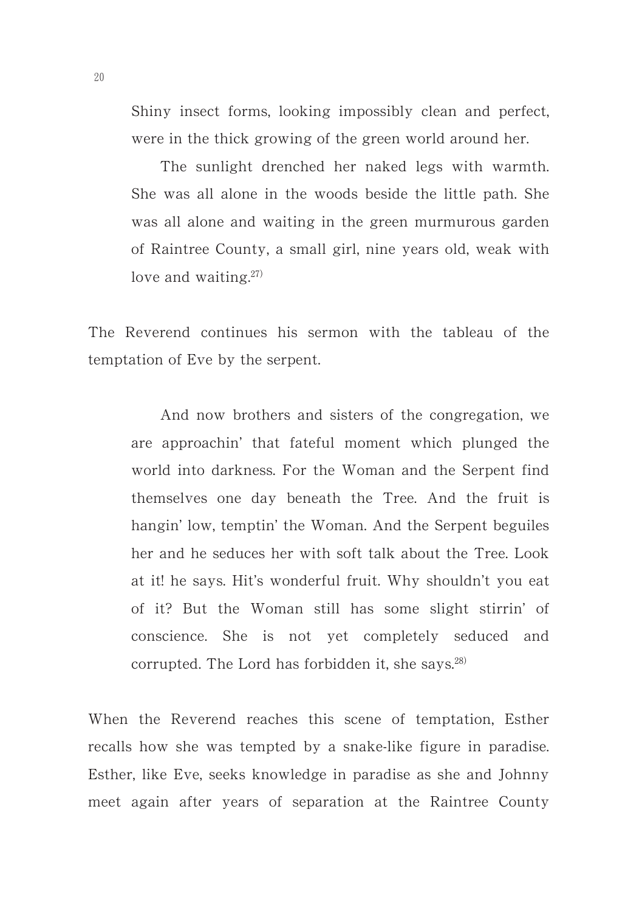Shiny insect forms, looking impossibly clean and perfect, were in the thick growing of the green world around her.

The sunlight drenched her naked legs with warmth. She was all alone in the woods beside the little path. She was all alone and waiting in the green murmurous garden of Raintree County, a small girl, nine years old, weak with love and waiting. $27)$ 

The Reverend continues his sermon with the tableau of the temptation of Eve by the serpent.

And now brothers and sisters of the congregation, we are approachin' that fateful moment which plunged the world into darkness. For the Woman and the Serpent find themselves one day beneath the Tree. And the fruit is hangin' low, temptin' the Woman. And the Serpent beguiles her and he seduces her with soft talk about the Tree. Look at it! he says. Hit's wonderful fruit. Why shouldn't you eat of it? But the Woman still has some slight stirrin' of conscience. She is not yet completely seduced and corrupted. The Lord has forbidden it, she says. $28$ )

When the Reverend reaches this scene of temptation, Esther recalls how she was tempted by a snake-like figure in paradise. Esther, like Eve, seeks knowledge in paradise as she and Johnny meet again after years of separation at the Raintree County

20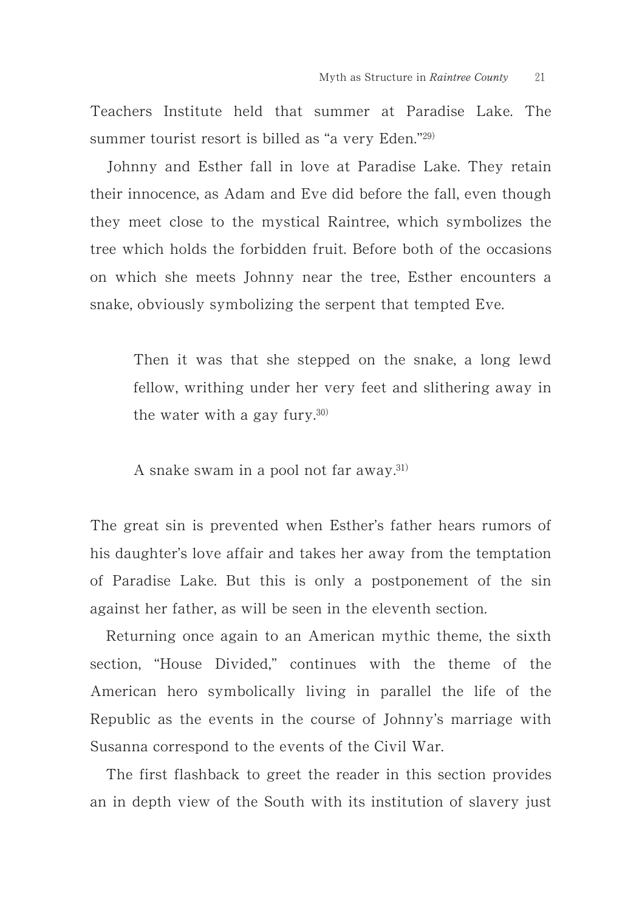Teachers Institute held that summer at Paradise Lake. The summer tourist resort is billed as "a very Eden."29)

Johnny and Esther fall in love at Paradise Lake. They retain their innocence, as Adam and Eve did before the fall, even though they meet close to the mystical Raintree, which symbolizes the tree which holds the forbidden fruit. Before both of the occasions on which she meets Johnny near the tree, Esther encounters a snake, obviously symbolizing the serpent that tempted Eve.

Then it was that she stepped on the snake, a long lewd fellow, writhing under her very feet and slithering away in the water with a gay fury. $30$ 

A snake swam in a pool not far away. $^{31}$ )

The great sin is prevented when Esther's father hears rumors of his daughter's love affair and takes her away from the temptation of Paradise Lake. But this is only a postponement of the sin against her father, as will be seen in the eleventh section.

Returning once again to an American mythic theme, the sixth section, "House Divided," continues with the theme of the American hero symbolically living in parallel the life of the Republic as the events in the course of Johnny's marriage with Susanna correspond to the events of the Civil War.

The first flashback to greet the reader in this section provides an in depth view of the South with its institution of slavery just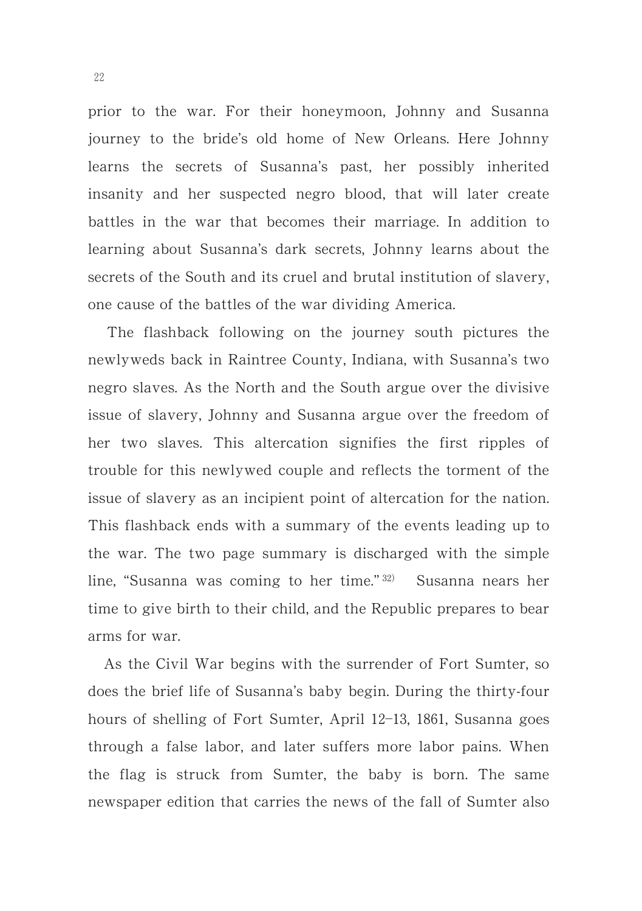prior to the war. For their honeymoon, Johnny and Susanna journey to the bride's old home of New Orleans. Here Johnny learns the secrets of Susanna's past, her possibly inherited insanity and her suspected negro blood, that will later create battles in the war that becomes their marriage. In addition to learning about Susanna's dark secrets, Johnny learns about the secrets of the South and its cruel and brutal institution of slavery, one cause of the battles of the war dividing America.

The flashback following on the journey south pictures the newlyweds back in Raintree County, Indiana, with Susanna's two negro slaves. As the North and the South argue over the divisive issue of slavery, Johnny and Susanna argue over the freedom of her two slaves. This altercation signifies the first ripples of trouble for this newlywed couple and reflects the torment of the issue of slavery as an incipient point of altercation for the nation. This flashback ends with a summary of the events leading up to the war. The two page summary is discharged with the simple line, "Susanna was coming to her time."<sup>32)</sup> Susanna nears her time to give birth to their child, and the Republic prepares to bear arms for war.

As the Civil War begins with the surrender of Fort Sumter, so does the brief life of Susanna's baby begin. During the thirty-four hours of shelling of Fort Sumter, April 12-13, 1861, Susanna goes through a false labor, and later suffers more labor pains. When the flag is struck from Sumter, the baby is born. The same newspaper edition that carries the news of the fall of Sumter also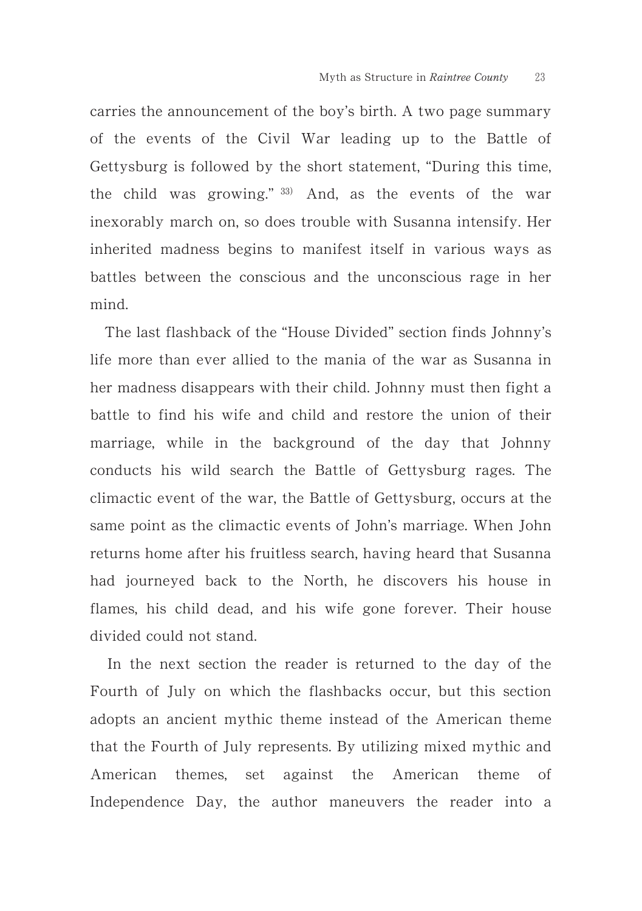carries the announcement of the boy's birth. A two page summary of the events of the Civil War leading up to the Battle of Gettysburg is followed by the short statement, "During this time, the child was growing."  $33)$  And, as the events of the war inexorably march on, so does trouble with Susanna intensify. Her inherited madness begins to manifest itself in various ways as battles between the conscious and the unconscious rage in her mind.

The last flashback of the "House Divided" section finds Johnny's life more than ever allied to the mania of the war as Susanna in her madness disappears with their child. Johnny must then fight a battle to find his wife and child and restore the union of their marriage, while in the background of the day that Johnny conducts his wild search the Battle of Gettysburg rages. The climactic event of the war, the Battle of Gettysburg, occurs at the same point as the climactic events of John's marriage. When John returns home after his fruitless search, having heard that Susanna had journeyed back to the North, he discovers his house in flames, his child dead, and his wife gone forever. Their house divided could not stand.

In the next section the reader is returned to the day of the Fourth of July on which the flashbacks occur, but this section adopts an ancient mythic theme instead of the American theme that the Fourth of July represents. By utilizing mixed mythic and American themes, set against the American theme of Independence Day, the author maneuvers the reader into a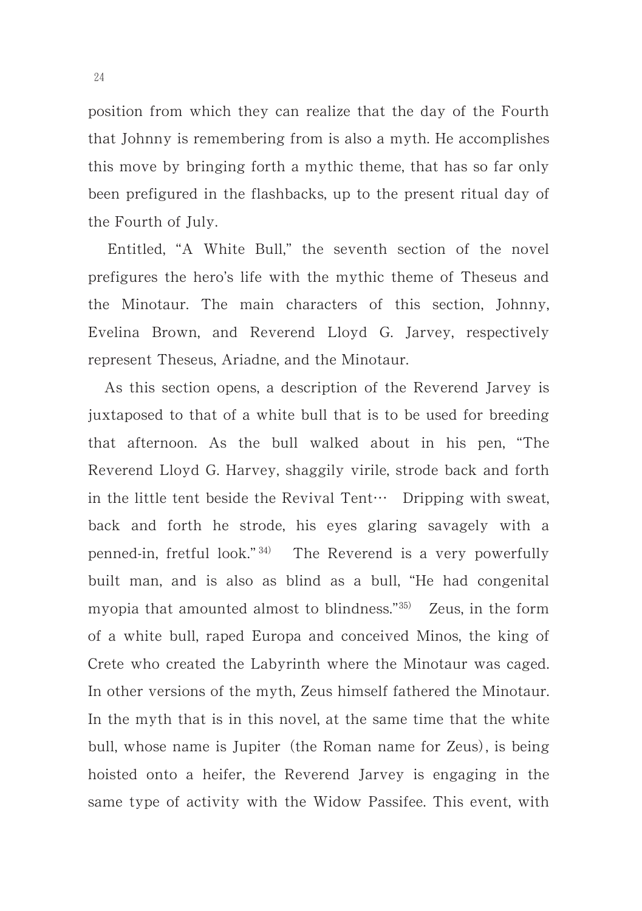position from which they can realize that the day of the Fourth that Johnny is remembering from is also a myth. He accomplishes this move by bringing forth a mythic theme, that has so far only been prefigured in the flashbacks, up to the present ritual day of the Fourth of July.

Entitled, "A White Bull," the seventh section of the novel prefigures the hero's life with the mythic theme of Theseus and the Minotaur. The main characters of this section, Johnny, Evelina Brown, and Reverend Lloyd G. Jarvey, respectively represent Theseus, Ariadne, and the Minotaur.

As this section opens, a description of the Reverend Jarvey is juxtaposed to that of a white bull that is to be used for breeding that afternoon. As the bull walked about in his pen, "The Reverend Lloyd G. Harvey, shaggily virile, strode back and forth in the little tent beside the Revival Tent $\cdots$  Dripping with sweat, back and forth he strode, his eyes glaring savagely with a penned-in, fretful look."<sup>34)</sup> The Reverend is a very powerfully built man, and is also as blind as a bull, "He had congenital myopia that amounted almost to blindness."<sup>35)</sup> Zeus, in the form of a white bull, raped Europa and conceived Minos, the king of Crete who created the Labyrinth where the Minotaur was caged. In other versions of the myth, Zeus himself fathered the Minotaur. In the myth that is in this novel, at the same time that the white bull, whose name is Jupiter (the Roman name for Zeus), is being hoisted onto a heifer, the Reverend Jarvey is engaging in the same type of activity with the Widow Passifee. This event, with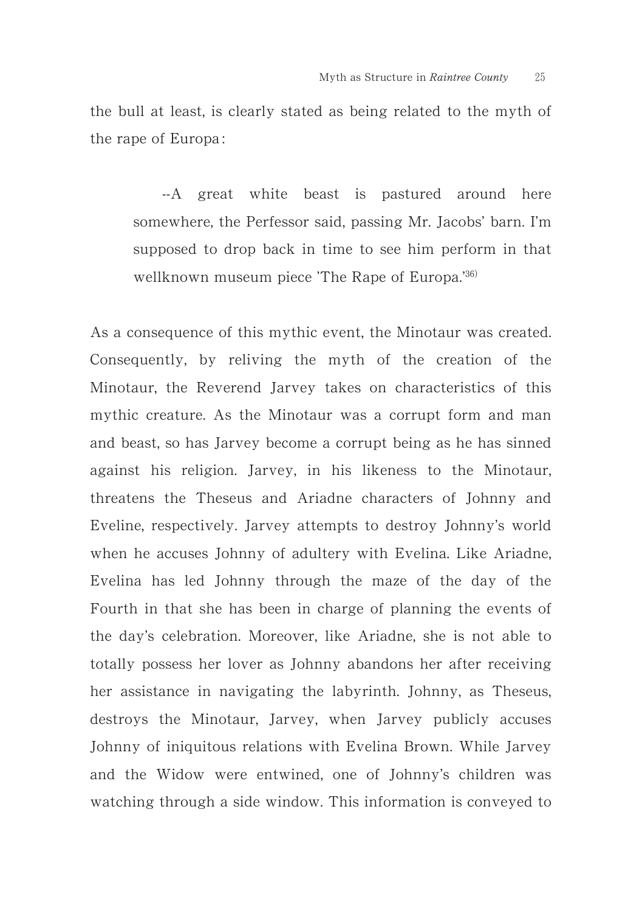the bull at least, is clearly stated as being related to the myth of the rape of Europa :

--A great white beast is pastured around here somewhere, the Perfessor said, passing Mr. Jacobs' barn. I'm supposed to drop back in time to see him perform in that wellknown museum piece 'The Rape of Europa.'36)

As a consequence of this mythic event, the Minotaur was created. Consequently, by reliving the myth of the creation of the Minotaur, the Reverend Jarvey takes on characteristics of this mythic creature. As the Minotaur was a corrupt form and man and beast, so has Jarvey become a corrupt being as he has sinned against his religion. Jarvey, in his likeness to the Minotaur, threatens the Theseus and Ariadne characters of Johnny and Eveline, respectively. Jarvey attempts to destroy Johnny's world when he accuses Johnny of adultery with Evelina. Like Ariadne, Evelina has led Johnny through the maze of the day of the Fourth in that she has been in charge of planning the events of the day's celebration. Moreover, like Ariadne, she is not able to totally possess her lover as Johnny abandons her after receiving her assistance in navigating the labyrinth. Johnny, as Theseus, destroys the Minotaur, Jarvey, when Jarvey publicly accuses Johnny of iniquitous relations with Evelina Brown. While Jarvey and the Widow were entwined, one of Johnny's children was watching through a side window. This information is conveyed to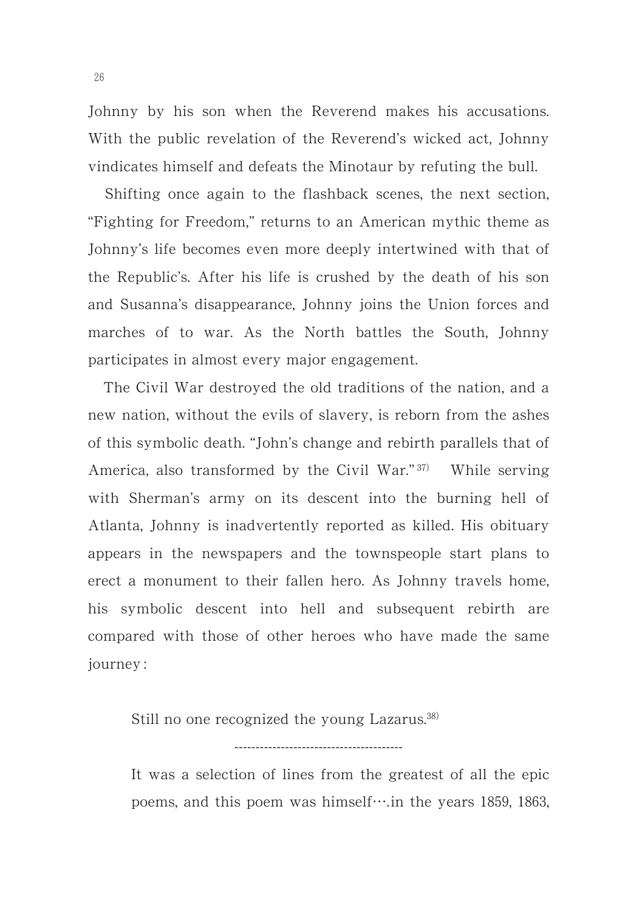Johnny by his son when the Reverend makes his accusations. With the public revelation of the Reverend's wicked act, Johnny vindicates himself and defeats the Minotaur by refuting the bull.

Shifting once again to the flashback scenes, the next section, "Fighting for Freedom," returns to an American mythic theme as Johnny's life becomes even more deeply intertwined with that of the Republic's. After his life is crushed by the death of his son and Susanna's disappearance, Johnny joins the Union forces and marches of to war. As the North battles the South, Johnny participates in almost every major engagement.

The Civil War destroyed the old traditions of the nation, and a new nation, without the evils of slavery, is reborn from the ashes of this symbolic death. "John's change and rebirth parallels that of America, also transformed by the Civil War." $37$ <sup>)</sup> While serving with Sherman's army on its descent into the burning hell of Atlanta, Johnny is inadvertently reported as killed. His obituary appears in the newspapers and the townspeople start plans to erect a monument to their fallen hero. As Johnny travels home, his symbolic descent into hell and subsequent rebirth are compared with those of other heroes who have made the same journey :

Still no one recognized the young Lazarus.<sup>38)</sup>

It was a selection of lines from the greatest of all the epic poems, and this poem was himself $\cdots$ in the years 1859, 1863,

----------------------------------------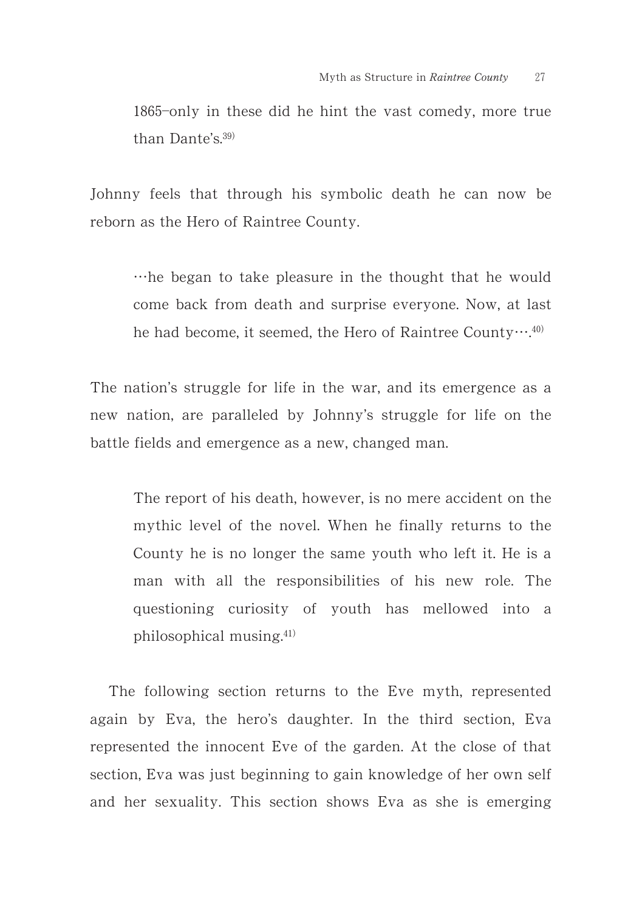1865-only in these did he hint the vast comedy, more true than Dante's.<sup>39)</sup>

Johnny feels that through his symbolic death he can now be reborn as the Hero of Raintree County.

-he began to take pleasure in the thought that he would come back from death and surprise everyone. Now, at last he had become, it seemed, the Hero of Raintree County $\cdots$ <sup>40)</sup>

The nation's struggle for life in the war, and its emergence as a new nation, are paralleled by Johnny's struggle for life on the battle fields and emergence as a new, changed man.

The report of his death, however, is no mere accident on the mythic level of the novel. When he finally returns to the County he is no longer the same youth who left it. He is a man with all the responsibilities of his new role. The questioning curiosity of youth has mellowed into a philosophical musing. $41)$ 

The following section returns to the Eve myth, represented again by Eva, the hero's daughter. In the third section, Eva represented the innocent Eve of the garden. At the close of that section, Eva was just beginning to gain knowledge of her own self and her sexuality. This section shows Eva as she is emerging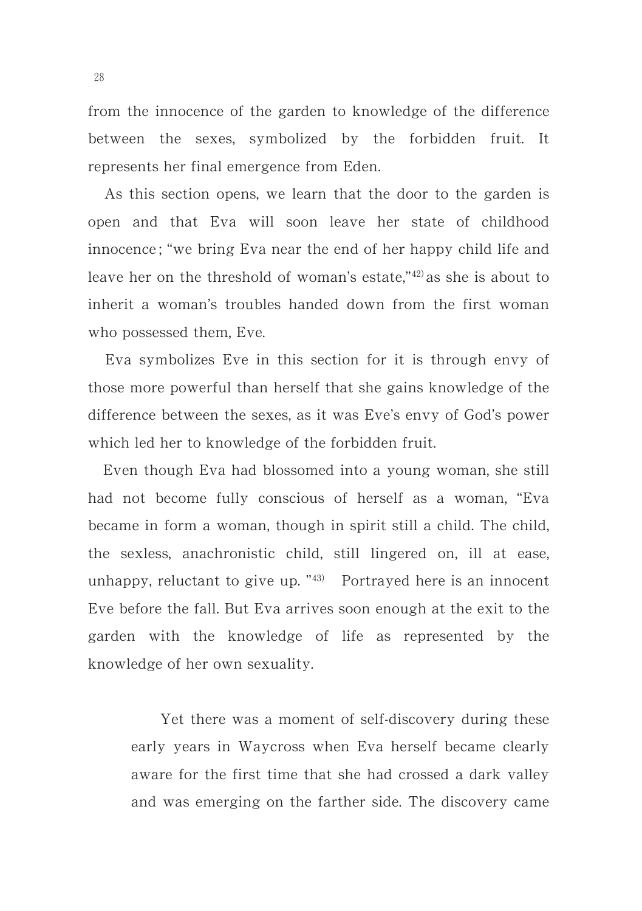from the innocence of the garden to knowledge of the difference between the sexes, symbolized by the forbidden fruit. It represents her final emergence from Eden.

As this section opens, we learn that the door to the garden is open and that Eva will soon leave her state of childhood innocence ; "we bring Eva near the end of her happy child life and leave her on the threshold of woman's estate,"42) as she is about to inherit a woman's troubles handed down from the first woman who possessed them, Eve.

Eva symbolizes Eve in this section for it is through envy of those more powerful than herself that she gains knowledge of the difference between the sexes, as it was Eve's envy of God's power which led her to knowledge of the forbidden fruit.

Even though Eva had blossomed into a young woman, she still had not become fully conscious of herself as a woman, "Eva became in form a woman, though in spirit still a child. The child, the sexless, anachronistic child, still lingered on, ill at ease, unhappy, reluctant to give up.  $\frac{430}{2}$  Portrayed here is an innocent Eve before the fall. But Eva arrives soon enough at the exit to the garden with the knowledge of life as represented by the knowledge of her own sexuality.

Yet there was a moment of self-discovery during these early years in Waycross when Eva herself became clearly aware for the first time that she had crossed a dark valley and was emerging on the farther side. The discovery came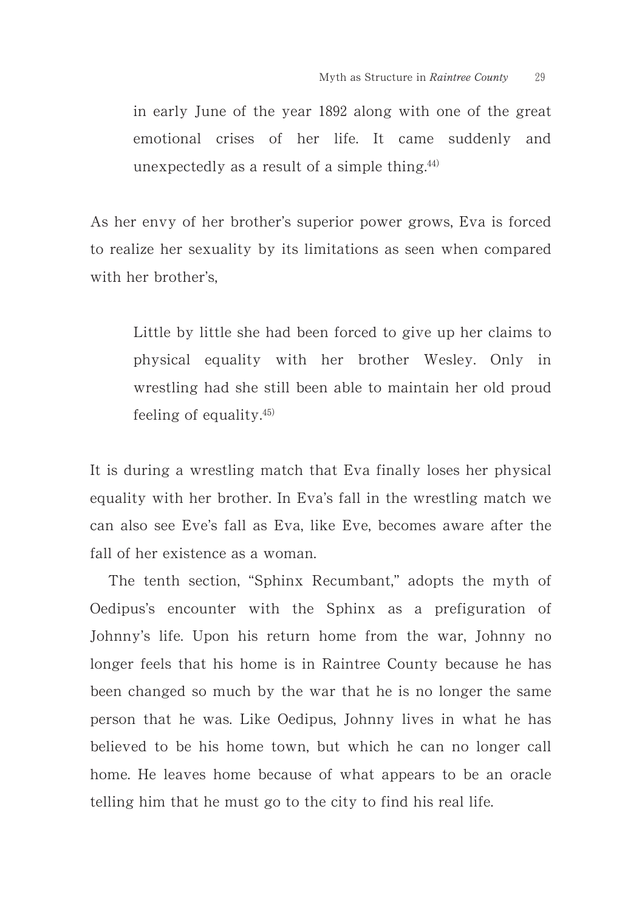in early June of the year 1892 along with one of the great emotional crises of her life. It came suddenly and unexpectedly as a result of a simple thing. $44)$ 

As her envy of her brother's superior power grows, Eva is forced to realize her sexuality by its limitations as seen when compared with her brother's,

Little by little she had been forced to give up her claims to physical equality with her brother Wesley. Only in wrestling had she still been able to maintain her old proud feeling of equality. $45$ 

It is during a wrestling match that Eva finally loses her physical equality with her brother. In Eva's fall in the wrestling match we can also see Eve's fall as Eva, like Eve, becomes aware after the fall of her existence as a woman.

The tenth section, "Sphinx Recumbant," adopts the myth of Oedipus's encounter with the Sphinx as a prefiguration of Johnny's life. Upon his return home from the war, Johnny no longer feels that his home is in Raintree County because he has been changed so much by the war that he is no longer the same person that he was. Like Oedipus, Johnny lives in what he has believed to be his home town, but which he can no longer call home. He leaves home because of what appears to be an oracle telling him that he must go to the city to find his real life.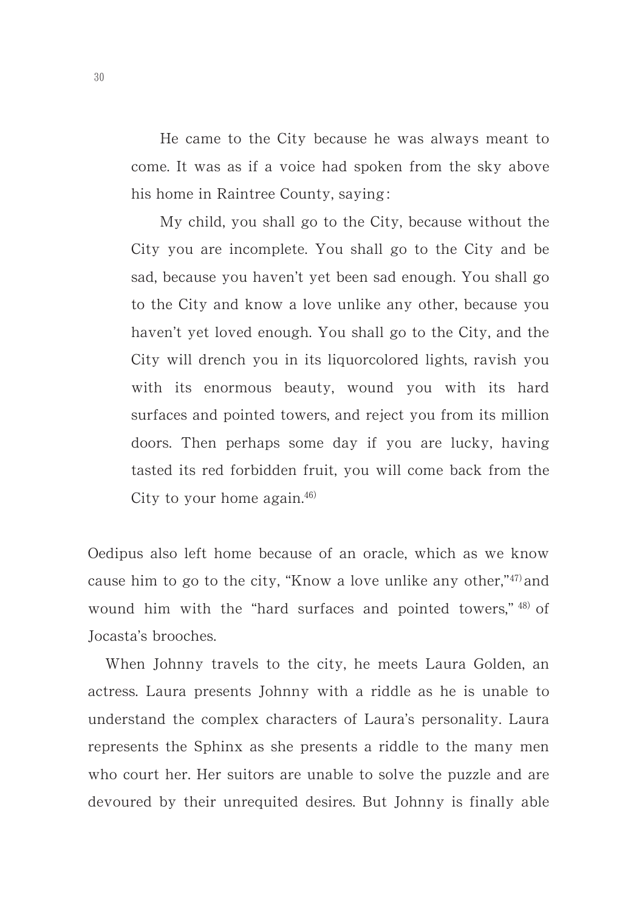He came to the City because he was always meant to come. It was as if a voice had spoken from the sky above his home in Raintree County, saying :

My child, you shall go to the City, because without the City you are incomplete. You shall go to the City and be sad, because you haven't yet been sad enough. You shall go to the City and know a love unlike any other, because you haven't yet loved enough. You shall go to the City, and the City will drench you in its liquorcolored lights, ravish you with its enormous beauty, wound you with its hard surfaces and pointed towers, and reject you from its million doors. Then perhaps some day if you are lucky, having tasted its red forbidden fruit, you will come back from the City to your home again. $46$ 

Oedipus also left home because of an oracle, which as we know cause him to go to the city, "Know a love unlike any other," $47$ ) and wound him with the "hard surfaces and pointed towers," 48) of Jocasta's brooches.

When Johnny travels to the city, he meets Laura Golden, an actress. Laura presents Johnny with a riddle as he is unable to understand the complex characters of Laura's personality. Laura represents the Sphinx as she presents a riddle to the many men who court her. Her suitors are unable to solve the puzzle and are devoured by their unrequited desires. But Johnny is finally able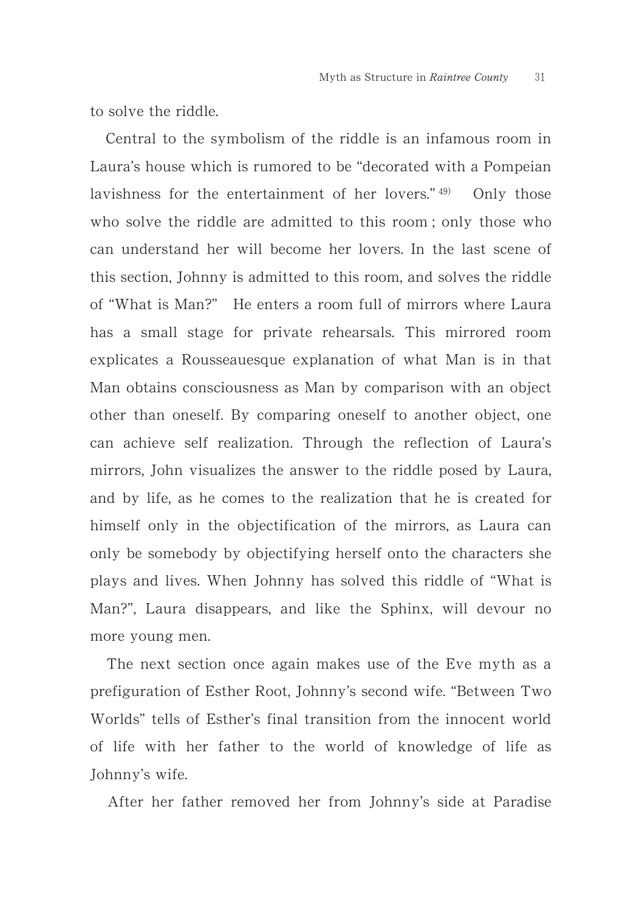to solve the riddle.

Central to the symbolism of the riddle is an infamous room in Laura's house which is rumored to be "decorated with a Pompeian lavishness for the entertainment of her lovers."  $49$  Only those who solve the riddle are admitted to this room ; only those who can understand her will become her lovers. In the last scene of this section, Johnny is admitted to this room, and solves the riddle of "What is Man?" He enters a room full of mirrors where Laura has a small stage for private rehearsals. This mirrored room explicates a Rousseauesque explanation of what Man is in that Man obtains consciousness as Man by comparison with an object other than oneself. By comparing oneself to another object, one can achieve self realization. Through the reflection of Laura's mirrors, John visualizes the answer to the riddle posed by Laura, and by life, as he comes to the realization that he is created for himself only in the objectification of the mirrors, as Laura can only be somebody by objectifying herself onto the characters she plays and lives. When Johnny has solved this riddle of "What is Man?", Laura disappears, and like the Sphinx, will devour no more young men.

The next section once again makes use of the Eve myth as a prefiguration of Esther Root, Johnny's second wife. "Between Two Worlds" tells of Esther's final transition from the innocent world of life with her father to the world of knowledge of life as Johnny's wife.

After her father removed her from Johnny's side at Paradise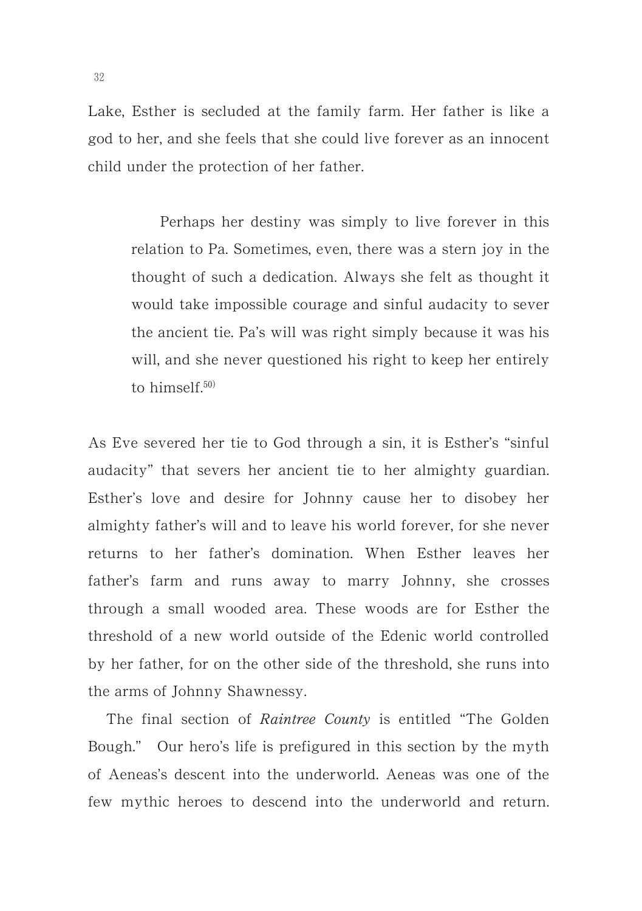Lake, Esther is secluded at the family farm. Her father is like a god to her, and she feels that she could live forever as an innocent child under the protection of her father.

Perhaps her destiny was simply to live forever in this relation to Pa. Sometimes, even, there was a stern joy in the thought of such a dedication. Always she felt as thought it would take impossible courage and sinful audacity to sever the ancient tie. Pa's will was right simply because it was his will, and she never questioned his right to keep her entirely to himself. $50)$ 

As Eve severed her tie to God through a sin, it is Esther's "sinful audacity" that severs her ancient tie to her almighty guardian. Esther's love and desire for Johnny cause her to disobey her almighty father's will and to leave his world forever, for she never returns to her father's domination. When Esther leaves her father's farm and runs away to marry Johnny, she crosses through a small wooded area. These woods are for Esther the threshold of a new world outside of the Edenic world controlled by her father, for on the other side of the threshold, she runs into the arms of Johnny Shawnessy.

The final section of *Raintree County* is entitled "The Golden" Bough." Our hero's life is prefigured in this section by the myth of Aeneas's descent into the underworld. Aeneas was one of the few mythic heroes to descend into the underworld and return.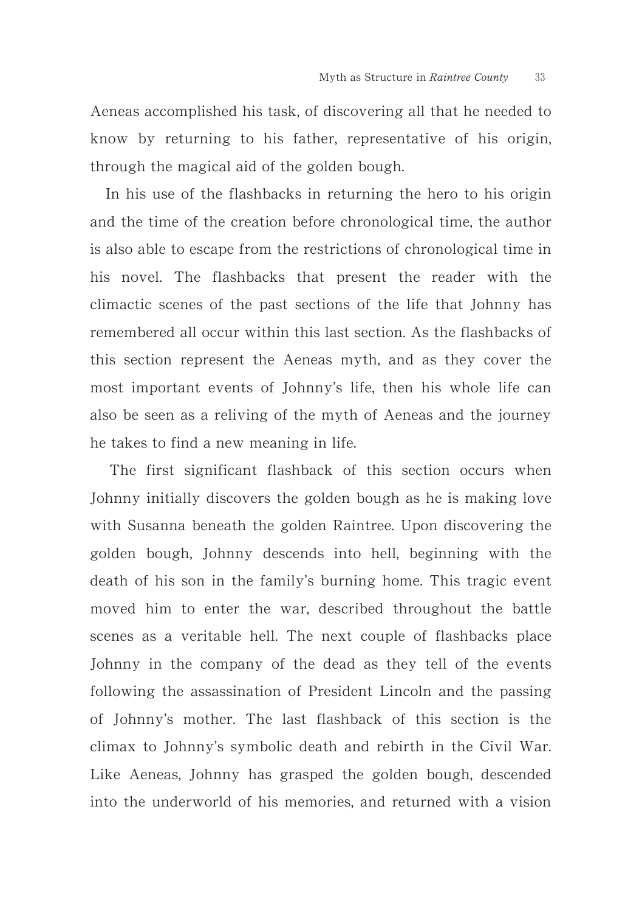Aeneas accomplished his task, of discovering all that he needed to know by returning to his father, representative of his origin, through the magical aid of the golden bough.

In his use of the flashbacks in returning the hero to his origin and the time of the creation before chronological time, the author is also able to escape from the restrictions of chronological time in his novel. The flashbacks that present the reader with the climactic scenes of the past sections of the life that Johnny has remembered all occur within this last section. As the flashbacks of this section represent the Aeneas myth, and as they cover the most important events of Johnny's life, then his whole life can also be seen as a reliving of the myth of Aeneas and the journey he takes to find a new meaning in life.

The first significant flashback of this section occurs when Johnny initially discovers the golden bough as he is making love with Susanna beneath the golden Raintree. Upon discovering the golden bough, Johnny descends into hell, beginning with the death of his son in the family's burning home. This tragic event moved him to enter the war, described throughout the battle scenes as a veritable hell. The next couple of flashbacks place Johnny in the company of the dead as they tell of the events following the assassination of President Lincoln and the passing of Johnny's mother. The last flashback of this section is the climax to Johnny's symbolic death and rebirth in the Civil War. Like Aeneas, Johnny has grasped the golden bough, descended into the underworld of his memories, and returned with a vision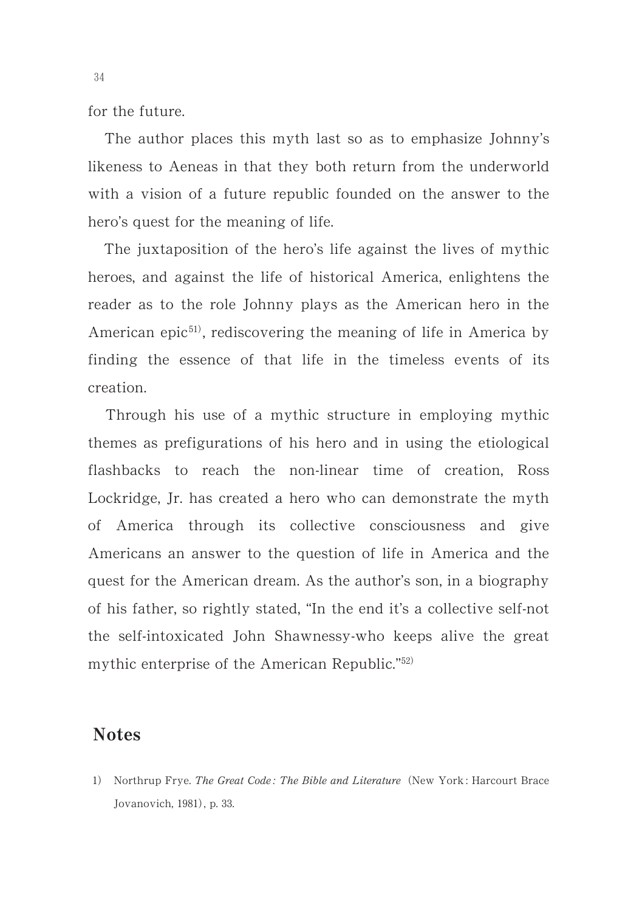for the future.

The author places this myth last so as to emphasize Johnny's likeness to Aeneas in that they both return from the underworld with a vision of a future republic founded on the answer to the hero's quest for the meaning of life.

The juxtaposition of the hero's life against the lives of mythic heroes, and against the life of historical America, enlightens the reader as to the role Johnny plays as the American hero in the American epic<sup>51)</sup>, rediscovering the meaning of life in America by finding the essence of that life in the timeless events of its creation.

Through his use of a mythic structure in employing mythic themes as prefigurations of his hero and in using the etiological flashbacks to reach the non-linear time of creation, Ross Lockridge, Jr. has created a hero who can demonstrate the myth of America through its collective consciousness and give Americans an answer to the question of life in America and the quest for the American dream. As the author's son, in a biography of his father, so rightly stated, "In the end it's a collective self-not the self-intoxicated John Shawnessy-who keeps alive the great mythic enterprise of the American Republic." $52$ )

## **Notes**

1) Northrup Frye. The Great Code: The Bible and Literature (New York: Harcourt Brace Jovanovich, 1981), p. 33.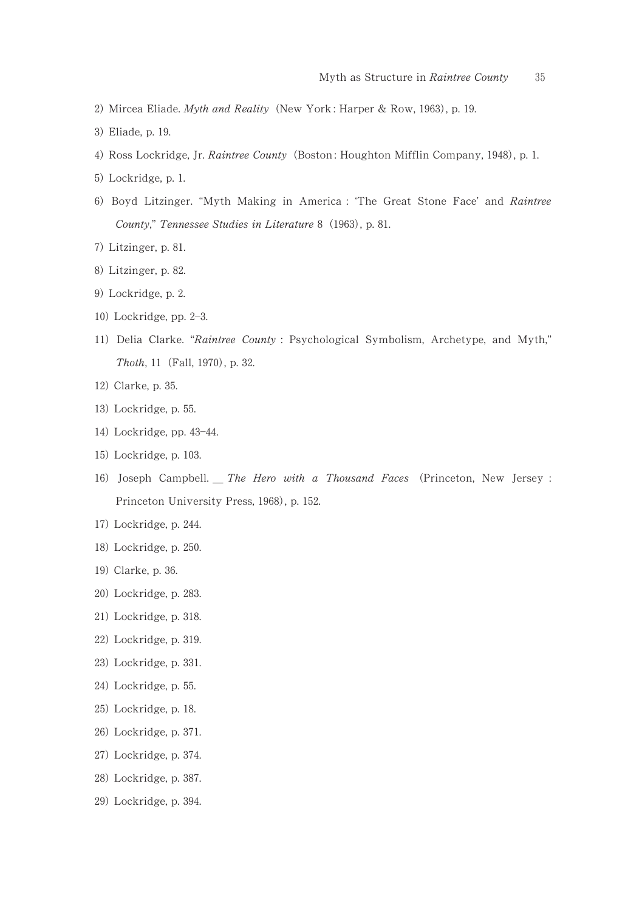- 2) Mircea Eliade. Myth and Reality (New York: Harper & Row, 1963), p. 19.
- 3) Eliade, p. 19.
- 4) Ross Lockridge, Jr. Raintree County (Boston: Houghton Mifflin Company, 1948), p. 1.
- 5) Lockridge, p. 1.
- 6) Boyd Litzinger. "Myth Making in America : 'The Great Stone Face' and Raintree County," Tennessee Studies in Literature 8 (1963), p. 81.
- 7) Litzinger, p. 81.
- 8) Litzinger, p. 82.
- 9) Lockridge, p. 2.
- 10) Lockridge, pp. 2-3.
- 11) Delia Clarke. "Raintree County : Psychological Symbolism, Archetype, and Myth," Thoth, 11 (Fall, 1970), p. 32.
- 12) Clarke, p. 35.
- 13) Lockridge, p. 55.
- 14) Lockridge, pp. 43-44.
- 15) Lockridge, p. 103.
- 16) Joseph Campbell. The Hero with a Thousand Faces (Princeton, New Jersey : Princeton University Press, 1968), p. 152.
- 17) Lockridge, p. 244.
- 18) Lockridge, p. 250.
- 19) Clarke, p. 36.
- 20) Lockridge, p. 283.
- 21) Lockridge, p. 318.
- 22) Lockridge, p. 319.
- 23) Lockridge, p. 331.
- 24) Lockridge, p. 55.
- 25) Lockridge, p. 18.
- 26) Lockridge, p. 371.
- 27) Lockridge, p. 374.
- 28) Lockridge, p. 387.
- 29) Lockridge, p. 394.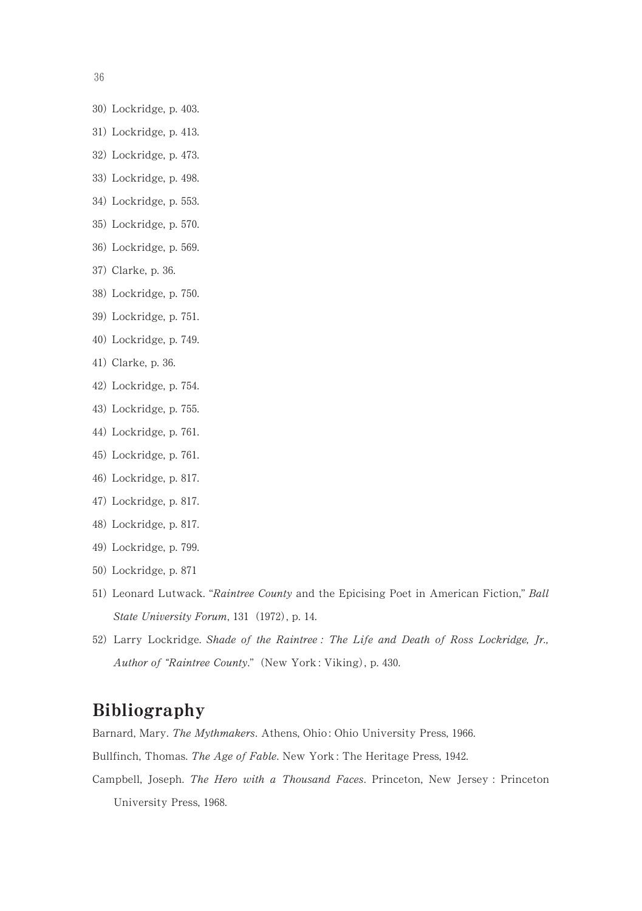36

- 30) Lockridge, p. 403.
- 31) Lockridge, p. 413.
- 32) Lockridge, p. 473.
- 33) Lockridge, p. 498.
- 34) Lockridge, p. 553.
- 35) Lockridge, p. 570.
- 36) Lockridge, p. 569.
- 37) Clarke, p. 36.
- 38) Lockridge, p. 750.
- 39) Lockridge, p. 751.
- 40) Lockridge, p. 749.
- 41) Clarke, p. 36.
- 42) Lockridge, p. 754.
- 43) Lockridge, p. 755.
- 44) Lockridge, p. 761.
- 45) Lockridge, p. 761.
- 46) Lockridge, p. 817.
- 47) Lockridge, p. 817.
- 48) Lockridge, p. 817.
- 49) Lockridge, p. 799.
- 50) Lockridge, p. 871
- 51) Leonard Lutwack. "Raintree County and the Epicising Poet in American Fiction," Ball State University Forum, 131 (1972), p. 14.
- 52) Larry Lockridge. Shade of the Raintree : The Life and Death of Ross Lockridge, Jr., Author of "Raintree County." (New York: Viking), p. 430.

## Bibliography

Barnard, Mary. The Mythmakers. Athens, Ohio: Ohio University Press, 1966.

Bullfinch, Thomas. The Age of Fable. New York: The Heritage Press, 1942.

Campbell, Joseph. The Hero with a Thousand Faces. Princeton, New Jersey : Princeton University Press, 1968.